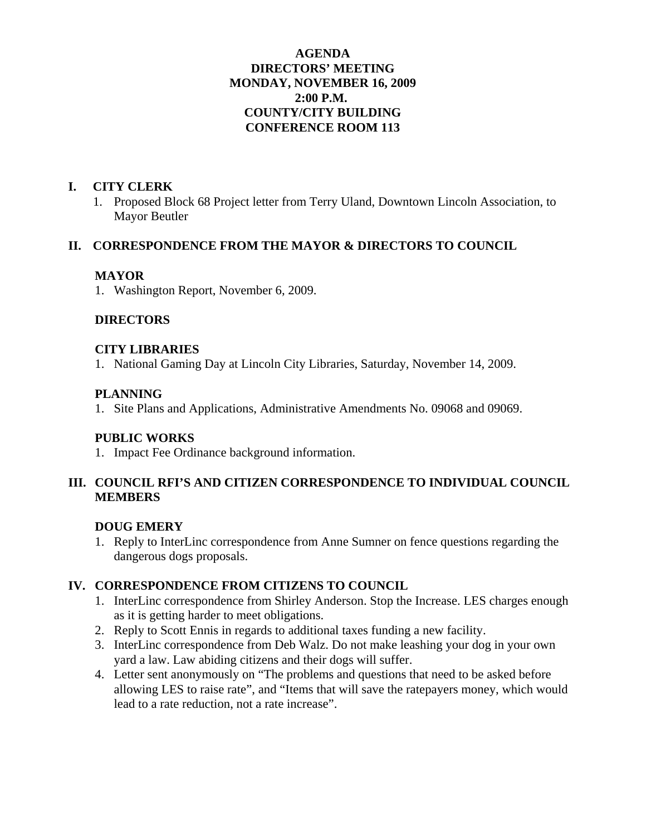### **AGENDA DIRECTORS' MEETING MONDAY, NOVEMBER 16, 2009 2:00 P.M. COUNTY/CITY BUILDING CONFERENCE ROOM 113**

### **I. CITY CLERK**

1. Proposed Block 68 Project letter from Terry Uland, Downtown Lincoln Association, to Mayor Beutler

#### **II. CORRESPONDENCE FROM THE MAYOR & DIRECTORS TO COUNCIL**

#### **MAYOR**

1. Washington Report, November 6, 2009.

### **DIRECTORS**

#### **CITY LIBRARIES**

1. National Gaming Day at Lincoln City Libraries, Saturday, November 14, 2009.

#### **PLANNING**

1. Site Plans and Applications, Administrative Amendments No. 09068 and 09069.

#### **PUBLIC WORKS**

1. Impact Fee Ordinance background information.

## **III. COUNCIL RFI'S AND CITIZEN CORRESPONDENCE TO INDIVIDUAL COUNCIL MEMBERS**

### **DOUG EMERY**

1. Reply to InterLinc correspondence from Anne Sumner on fence questions regarding the dangerous dogs proposals.

### **IV. CORRESPONDENCE FROM CITIZENS TO COUNCIL**

- 1. InterLinc correspondence from Shirley Anderson. Stop the Increase. LES charges enough as it is getting harder to meet obligations.
- 2. Reply to Scott Ennis in regards to additional taxes funding a new facility.
- 3. InterLinc correspondence from Deb Walz. Do not make leashing your dog in your own yard a law. Law abiding citizens and their dogs will suffer.
- 4. Letter sent anonymously on "The problems and questions that need to be asked before allowing LES to raise rate", and "Items that will save the ratepayers money, which would lead to a rate reduction, not a rate increase".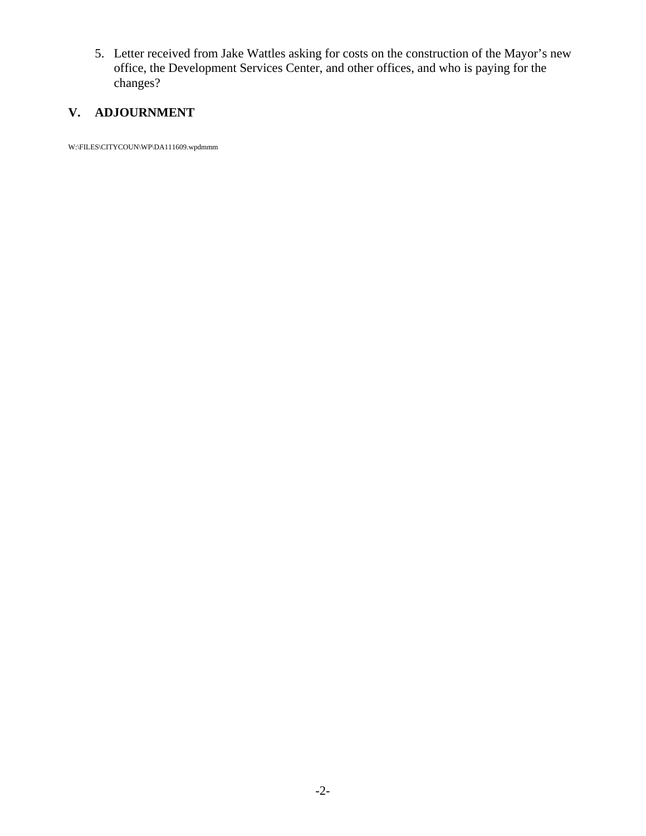5. Letter received from Jake Wattles asking for costs on the construction of the Mayor's new office, the Development Services Center, and other offices, and who is paying for the changes?

# **V. ADJOURNMENT**

W:\FILES\CITYCOUN\WP\DA111609.wpdmmm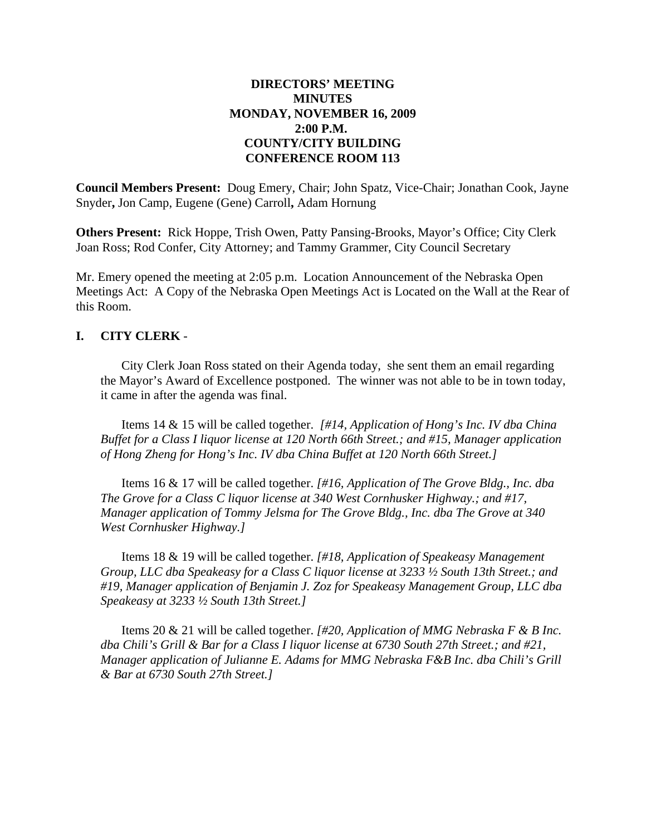### **DIRECTORS' MEETING MINUTES MONDAY, NOVEMBER 16, 2009 2:00 P.M. COUNTY/CITY BUILDING CONFERENCE ROOM 113**

**Council Members Present:** Doug Emery, Chair; John Spatz, Vice-Chair; Jonathan Cook, Jayne Snyder**,** Jon Camp, Eugene (Gene) Carroll**,** Adam Hornung

**Others Present:** Rick Hoppe, Trish Owen, Patty Pansing-Brooks, Mayor's Office; City Clerk Joan Ross; Rod Confer, City Attorney; and Tammy Grammer, City Council Secretary

Mr. Emery opened the meeting at 2:05 p.m. Location Announcement of the Nebraska Open Meetings Act: A Copy of the Nebraska Open Meetings Act is Located on the Wall at the Rear of this Room.

#### **I. CITY CLERK** -

City Clerk Joan Ross stated on their Agenda today, she sent them an email regarding the Mayor's Award of Excellence postponed. The winner was not able to be in town today, it came in after the agenda was final.

Items 14 & 15 will be called together. *[#14, Application of Hong's Inc. IV dba China Buffet for a Class I liquor license at 120 North 66th Street.; and #15, Manager application of Hong Zheng for Hong's Inc. IV dba China Buffet at 120 North 66th Street.]*

Items 16 & 17 will be called together. *[#16, Application of The Grove Bldg., Inc. dba The Grove for a Class C liquor license at 340 West Cornhusker Highway.; and #17, Manager application of Tommy Jelsma for The Grove Bldg., Inc. dba The Grove at 340 West Cornhusker Highway.]*

Items 18 & 19 will be called together. *[#18, Application of Speakeasy Management Group, LLC dba Speakeasy for a Class C liquor license at 3233 ½ South 13th Street.; and #19, Manager application of Benjamin J. Zoz for Speakeasy Management Group, LLC dba Speakeasy at 3233 ½ South 13th Street.]*

Items 20 & 21 will be called together. *[#20, Application of MMG Nebraska F & B Inc. dba Chili's Grill & Bar for a Class I liquor license at 6730 South 27th Street.; and #21, Manager application of Julianne E. Adams for MMG Nebraska F&B Inc. dba Chili's Grill & Bar at 6730 South 27th Street.]*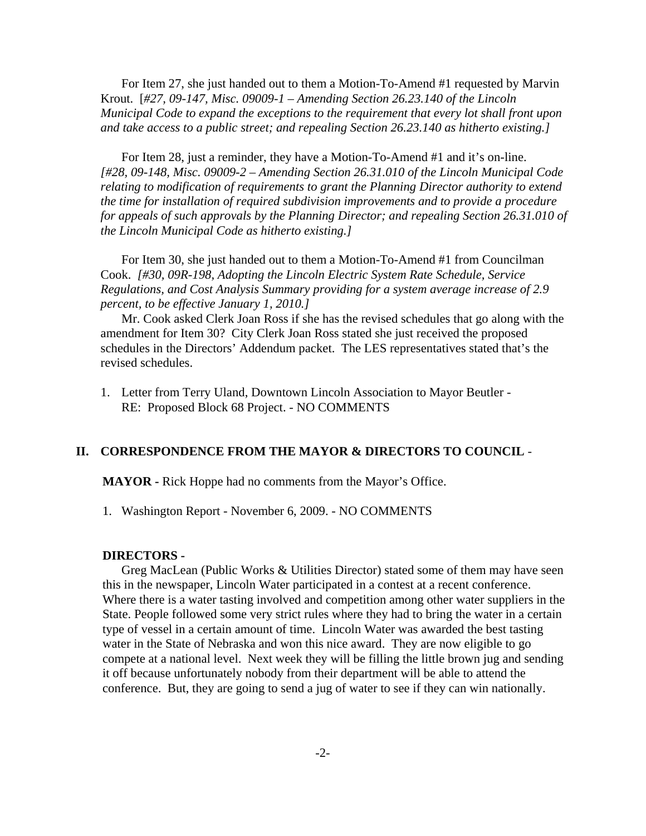For Item 27, she just handed out to them a Motion-To-Amend #1 requested by Marvin Krout. [*#27, 09-147, Misc. 09009-1 – Amending Section 26.23.140 of the Lincoln Municipal Code to expand the exceptions to the requirement that every lot shall front upon and take access to a public street; and repealing Section 26.23.140 as hitherto existing.]*

For Item 28, just a reminder, they have a Motion-To-Amend #1 and it's on-line. *[#28, 09-148, Misc. 09009-2 – Amending Section 26.31.010 of the Lincoln Municipal Code relating to modification of requirements to grant the Planning Director authority to extend the time for installation of required subdivision improvements and to provide a procedure for appeals of such approvals by the Planning Director; and repealing Section 26.31.010 of the Lincoln Municipal Code as hitherto existing.]*

For Item 30, she just handed out to them a Motion-To-Amend #1 from Councilman Cook. *[#30, 09R-198, Adopting the Lincoln Electric System Rate Schedule, Service Regulations, and Cost Analysis Summary providing for a system average increase of 2.9 percent, to be effective January 1, 2010.]*

Mr. Cook asked Clerk Joan Ross if she has the revised schedules that go along with the amendment for Item 30? City Clerk Joan Ross stated she just received the proposed schedules in the Directors' Addendum packet. The LES representatives stated that's the revised schedules.

1. Letter from Terry Uland, Downtown Lincoln Association to Mayor Beutler - RE: Proposed Block 68 Project. - NO COMMENTS

#### **II. CORRESPONDENCE FROM THE MAYOR & DIRECTORS TO COUNCIL** -

**MAYOR -** Rick Hoppe had no comments from the Mayor's Office.

1. Washington Report - November 6, 2009. - NO COMMENTS

#### **DIRECTORS -**

Greg MacLean (Public Works & Utilities Director) stated some of them may have seen this in the newspaper, Lincoln Water participated in a contest at a recent conference. Where there is a water tasting involved and competition among other water suppliers in the State. People followed some very strict rules where they had to bring the water in a certain type of vessel in a certain amount of time. Lincoln Water was awarded the best tasting water in the State of Nebraska and won this nice award. They are now eligible to go compete at a national level. Next week they will be filling the little brown jug and sending it off because unfortunately nobody from their department will be able to attend the conference. But, they are going to send a jug of water to see if they can win nationally.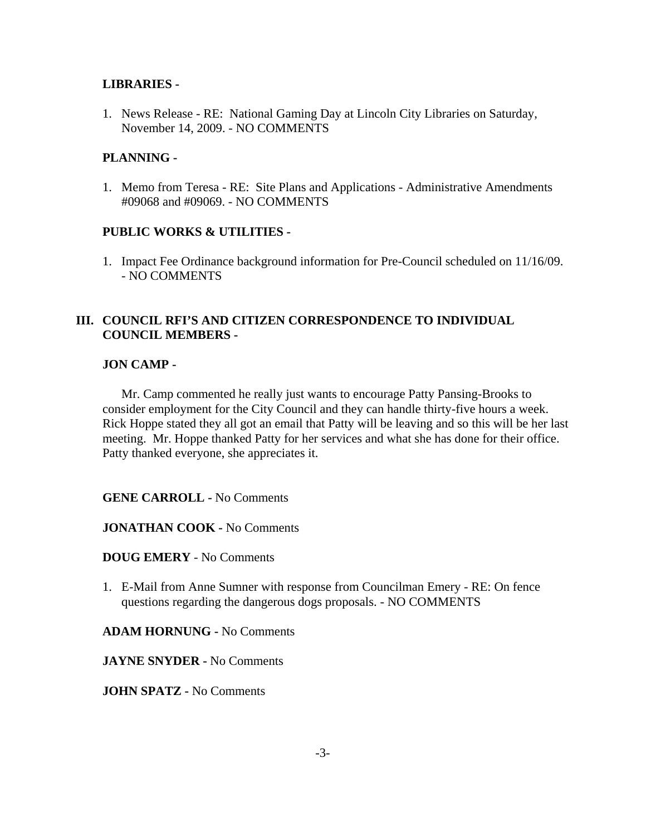### **LIBRARIES -**

1. News Release - RE: National Gaming Day at Lincoln City Libraries on Saturday, November 14, 2009. - NO COMMENTS

#### **PLANNING -**

1. Memo from Teresa - RE: Site Plans and Applications - Administrative Amendments #09068 and #09069. - NO COMMENTS

#### **PUBLIC WORKS & UTILITIES -**

1. Impact Fee Ordinance background information for Pre-Council scheduled on 11/16/09. - NO COMMENTS

### **III. COUNCIL RFI'S AND CITIZEN CORRESPONDENCE TO INDIVIDUAL COUNCIL MEMBERS -**

#### **JON CAMP -**

Mr. Camp commented he really just wants to encourage Patty Pansing-Brooks to consider employment for the City Council and they can handle thirty-five hours a week. Rick Hoppe stated they all got an email that Patty will be leaving and so this will be her last meeting. Mr. Hoppe thanked Patty for her services and what she has done for their office. Patty thanked everyone, she appreciates it.

**GENE CARROLL -** No Comments

**JONATHAN COOK -** No Comments

**DOUG EMERY** - No Comments

1. E-Mail from Anne Sumner with response from Councilman Emery - RE: On fence questions regarding the dangerous dogs proposals. - NO COMMENTS

**ADAM HORNUNG -** No Comments

**JAYNE SNYDER -** No Comments

**JOHN SPATZ -** No Comments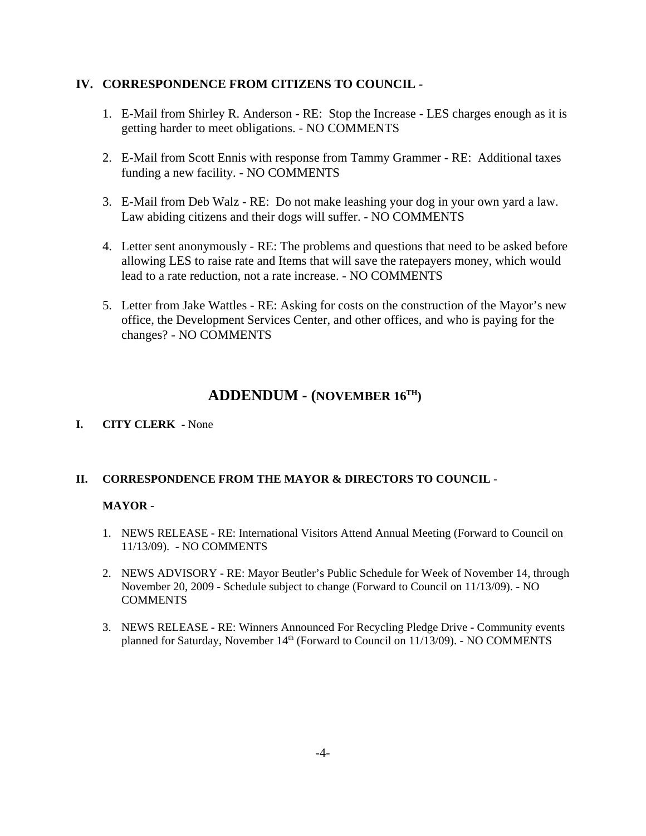#### **IV. CORRESPONDENCE FROM CITIZENS TO COUNCIL -**

- 1. E-Mail from Shirley R. Anderson RE: Stop the Increase LES charges enough as it is getting harder to meet obligations. - NO COMMENTS
- 2. E-Mail from Scott Ennis with response from Tammy Grammer RE: Additional taxes funding a new facility. - NO COMMENTS
- 3. E-Mail from Deb Walz RE: Do not make leashing your dog in your own yard a law. Law abiding citizens and their dogs will suffer. - NO COMMENTS
- 4. Letter sent anonymously RE: The problems and questions that need to be asked before allowing LES to raise rate and Items that will save the ratepayers money, which would lead to a rate reduction, not a rate increase. - NO COMMENTS
- 5. Letter from Jake Wattles RE: Asking for costs on the construction of the Mayor's new office, the Development Services Center, and other offices, and who is paying for the changes? - NO COMMENTS

# **ADDENDUM - (NOVEMBER 16TH)**

**I. CITY CLERK -** None

#### **II. CORRESPONDENCE FROM THE MAYOR & DIRECTORS TO COUNCIL** -

#### **MAYOR -**

- 1. NEWS RELEASE RE: International Visitors Attend Annual Meeting (Forward to Council on 11/13/09). - NO COMMENTS
- 2. NEWS ADVISORY RE: Mayor Beutler's Public Schedule for Week of November 14, through November 20, 2009 - Schedule subject to change (Forward to Council on 11/13/09). - NO **COMMENTS**
- 3. NEWS RELEASE RE: Winners Announced For Recycling Pledge Drive Community events planned for Saturday, November  $14<sup>th</sup>$  (Forward to Council on  $11/13/09$ ). - NO COMMENTS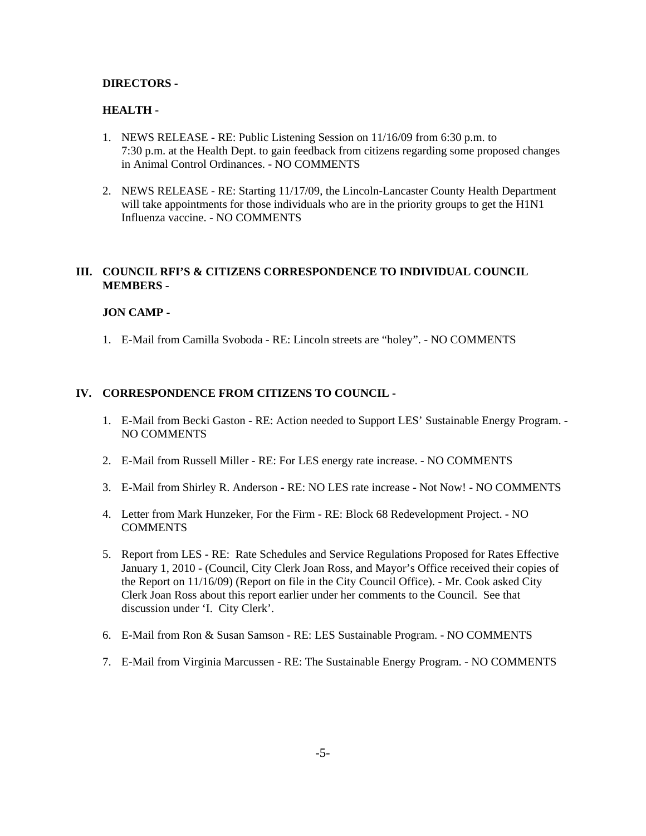#### **DIRECTORS -**

#### **HEALTH -**

- 1. NEWS RELEASE RE: Public Listening Session on 11/16/09 from 6:30 p.m. to 7:30 p.m. at the Health Dept. to gain feedback from citizens regarding some proposed changes in Animal Control Ordinances. - NO COMMENTS
- 2. NEWS RELEASE RE: Starting 11/17/09, the Lincoln-Lancaster County Health Department will take appointments for those individuals who are in the priority groups to get the H1N1 Influenza vaccine. - NO COMMENTS

#### **III. COUNCIL RFI'S & CITIZENS CORRESPONDENCE TO INDIVIDUAL COUNCIL MEMBERS -**

#### **JON CAMP -**

1. E-Mail from Camilla Svoboda - RE: Lincoln streets are "holey". - NO COMMENTS

#### **IV. CORRESPONDENCE FROM CITIZENS TO COUNCIL -**

- 1. E-Mail from Becki Gaston RE: Action needed to Support LES' Sustainable Energy Program. NO COMMENTS
- 2. E-Mail from Russell Miller RE: For LES energy rate increase. NO COMMENTS
- 3. E-Mail from Shirley R. Anderson RE: NO LES rate increase Not Now! NO COMMENTS
- 4. Letter from Mark Hunzeker, For the Firm RE: Block 68 Redevelopment Project. NO **COMMENTS**
- 5. Report from LES RE: Rate Schedules and Service Regulations Proposed for Rates Effective January 1, 2010 - (Council, City Clerk Joan Ross, and Mayor's Office received their copies of the Report on 11/16/09) (Report on file in the City Council Office). - Mr. Cook asked City Clerk Joan Ross about this report earlier under her comments to the Council. See that discussion under 'I. City Clerk'.
- 6. E-Mail from Ron & Susan Samson RE: LES Sustainable Program. NO COMMENTS
- 7. E-Mail from Virginia Marcussen RE: The Sustainable Energy Program. NO COMMENTS